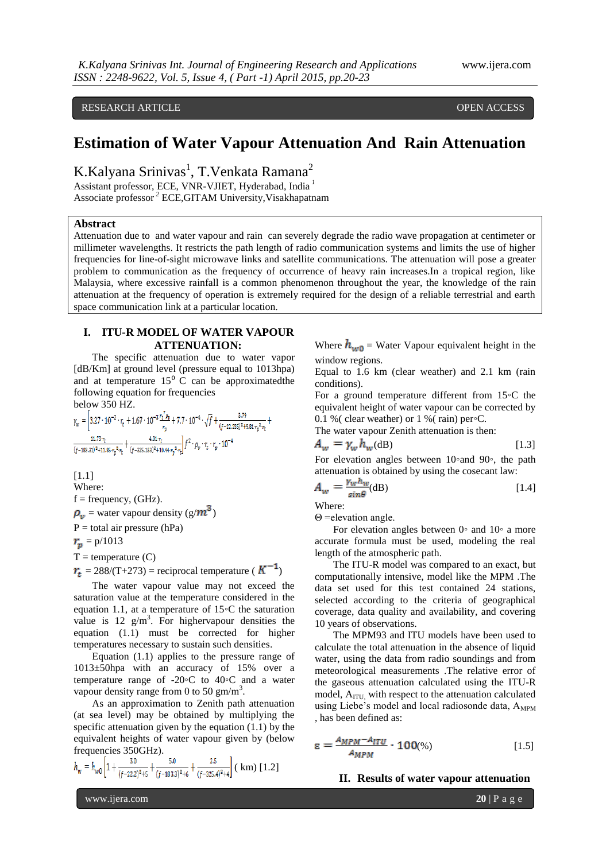# RESEARCH ARTICLE **CONTRACT ARTICLE**

# **Estimation of Water Vapour Attenuation And Rain Attenuation**

K.Kalyana Srinivas<sup>1</sup>, T.Venkata Ramana<sup>2</sup>

Assistant professor, ECE, VNR-VJIET, Hyderabad, India *<sup>1</sup>* Associate professor *<sup>2</sup>* ECE,GITAM University,Visakhapatnam

#### **Abstract**

Attenuation due to and water vapour and rain can severely degrade the radio wave propagation at centimeter or millimeter wavelengths. It restricts the path length of radio communication systems and limits the use of higher frequencies for line-of-sight microwave links and satellite communications. The attenuation will pose a greater problem to communication as the frequency of occurrence of heavy rain increases.In a tropical region, like Malaysia, where excessive rainfall is a common phenomenon throughout the year, the knowledge of the rain attenuation at the frequency of operation is extremely required for the design of a reliable terrestrial and earth space communication link at a particular location.

## **I. ITU-R MODEL OF WATER VAPOUR ATTENUATION:**

The specific attenuation due to water vapor [dB/Km] at ground level (pressure equal to 1013hpa) and at temperature  $15^{\circ}$  C can be approximated the following equation for frequencies

below 350 HZ.

$$
\gamma_w = \left[3.27 \cdot 10^{-2} \cdot r_t + 1.67 \cdot 10^{-3} \frac{r_t \cdot \rho_v}{r_p} + 7.7 \cdot 10^{-4} \cdot \sqrt{f} + \frac{3.79}{(f - 22.235)^2 + 9.81 \cdot r_p^2 \cdot r_t} + \frac{11.73 \cdot r_t}{(f - 183.31)^2 + 11.85 \cdot r_p^2 \cdot r_t} + \frac{4.01 \cdot r_t}{(f - 325.158)^2 + 10.44 \cdot r_p^2 \cdot r_t} \cdot f_p^2 \cdot r_t \cdot r_p \cdot 10^{-4} \right]
$$

[1.1] Where:  $f = frequency$ , (GHz).  $\rho_{\nu}$  = water vapour density (g/ $m^3$ )  $P =$  total air pressure (hPa)  $r_p = p/1013$  $T =$  temperature  $(C)$  $r_t = 288/(T+273) =$  reciprocal temperature ( $K^{-1}$ )

The water vapour value may not exceed the saturation value at the temperature considered in the equation 1.1, at a temperature of 15◦C the saturation value is 12  $g/m<sup>3</sup>$ . For highervapour densities the equation (1.1) must be corrected for higher temperatures necessary to sustain such densities.

Equation (1.1) applies to the pressure range of 1013±50hpa with an accuracy of 15% over a temperature range of  $-20$ <sup>o</sup>C to  $40$ <sup>o</sup>C and a water vapour density range from 0 to 50 gm/m<sup>3</sup>.

As an approximation to Zenith path attenuation (at sea level) may be obtained by multiplying the specific attenuation given by the equation (1.1) by the equivalent heights of water vapour given by (below frequencies 350GHz).

$$
h_w = h_{w0} \left[ 1 + \frac{3.0}{(f - 22.2)^2 + 5} + \frac{5.0}{(f - 183.3)^2 + 6} + \frac{2.5}{(f - 325.4)^2 + 4} \right] \text{ ( km) } [1.2]
$$

Where  $h_{w0}$  = Water Vapour equivalent height in the window regions.

Equal to 1.6 km (clear weather) and 2.1 km (rain conditions).

For a ground temperature different from 15◦C the equivalent height of water vapour can be corrected by 0.1 % ( clear weather) or 1 % ( rain) per∘C.

The water vapour Zenith attenuation is then:  
\n
$$
A_w = \gamma_w h_w(\text{dB})
$$
\n[1.3]

For elevation angles between 10◦and 90◦, the path attenuation is obtained by using the cosecant law:

$$
A_w = \frac{\gamma_w h_w}{\sin \theta} \text{(dB)} \tag{1.4}
$$

Where:

Θ =elevation angle.

For elevation angles between 0◦ and 10◦ a more accurate formula must be used, modeling the real length of the atmospheric path.

The ITU-R model was compared to an exact, but computationally intensive, model like the MPM .The data set used for this test contained 24 stations, selected according to the criteria of geographical coverage, data quality and availability, and covering 10 years of observations.

The MPM93 and ITU models have been used to calculate the total attenuation in the absence of liquid water, using the data from radio soundings and from meteorological measurements .The relative error of the gaseous attenuation calculated using the ITU-R model,  $A_{\text{ITU}}$  with respect to the attenuation calculated using Liebe's model and local radiosonde data,  $A_{MPM}$ , has been defined as:

$$
\varepsilon = \frac{A_{MPM} - A_{ITU}}{A_{MPM}} \cdot 100\%) \tag{1.5}
$$

#### **II. Results of water vapour attenuation**

www.ijera.com **20** | P a g e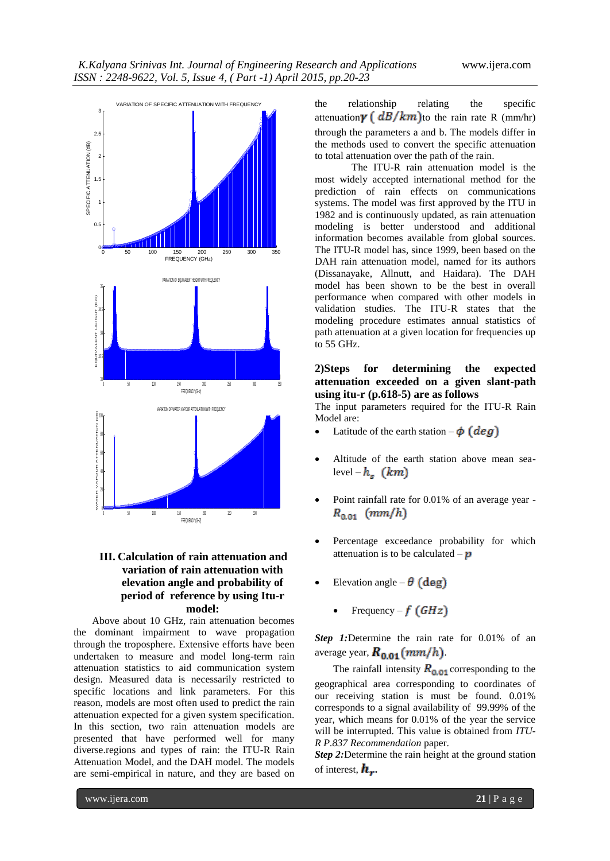

# **III. Calculation of rain attenuation and variation of rain attenuation with elevation angle and probability of period of reference by using Itu-r model:**

Above about 10 GHz, rain attenuation becomes the dominant impairment to wave propagation through the troposphere. Extensive efforts have been undertaken to measure and model long-term rain attenuation statistics to aid communication system design. Measured data is necessarily restricted to specific locations and link parameters. For this reason, models are most often used to predict the rain attenuation expected for a given system specification. In this section, two rain attenuation models are presented that have performed well for many diverse.regions and types of rain: the ITU-R Rain Attenuation Model, and the DAH model. The models are semi-empirical in nature, and they are based on

the relationship relating the specific attenuation  $\gamma$  ( $dB/km$ ) to the rain rate R (mm/hr) through the parameters a and b. The models differ in the methods used to convert the specific attenuation to total attenuation over the path of the rain.

The ITU-R rain attenuation model is the most widely accepted international method for the prediction of rain effects on communications systems. The model was first approved by the ITU in 1982 and is continuously updated, as rain attenuation modeling is better understood and additional information becomes available from global sources. The ITU-R model has, since 1999, been based on the DAH rain attenuation model, named for its authors (Dissanayake, Allnutt, and Haidara). The DAH model has been shown to be the best in overall performance when compared with other models in validation studies. The ITU-R states that the modeling procedure estimates annual statistics of path attenuation at a given location for frequencies up to 55 GHz.

# **2)Steps for determining the expected attenuation exceeded on a given slant-path using itu-r (p.618-5) are as follows**

The input parameters required for the ITU-R Rain Model are:

- Latitude of the earth station  $-\phi$  (deg)
- Altitude of the earth station above mean sealevel –  $h<sub>s</sub>$  (km)
- Point rainfall rate for 0.01% of an average year  $R_{0.01}$  (mm/h)
- Percentage exceedance probability for which attenuation is to be calculated  $-\boldsymbol{p}$
- Elevation angle  $\theta$  (deg)
	- Frequency  $f(GHz)$

*Step 1:*Determine the rain rate for 0.01% of an average year,  $R_{0.01}(mm/h)$ .

The rainfall intensity  $R_{0.01}$  corresponding to the geographical area corresponding to coordinates of our receiving station is must be found. 0.01% corresponds to a signal availability of 99.99% of the year, which means for 0.01% of the year the service will be interrupted. This value is obtained from *ITU-R P.837 Recommendation* paper.

*Step 2:*Determine the rain height at the ground station of interest,  $\boldsymbol{h}_{\boldsymbol{r}}$ .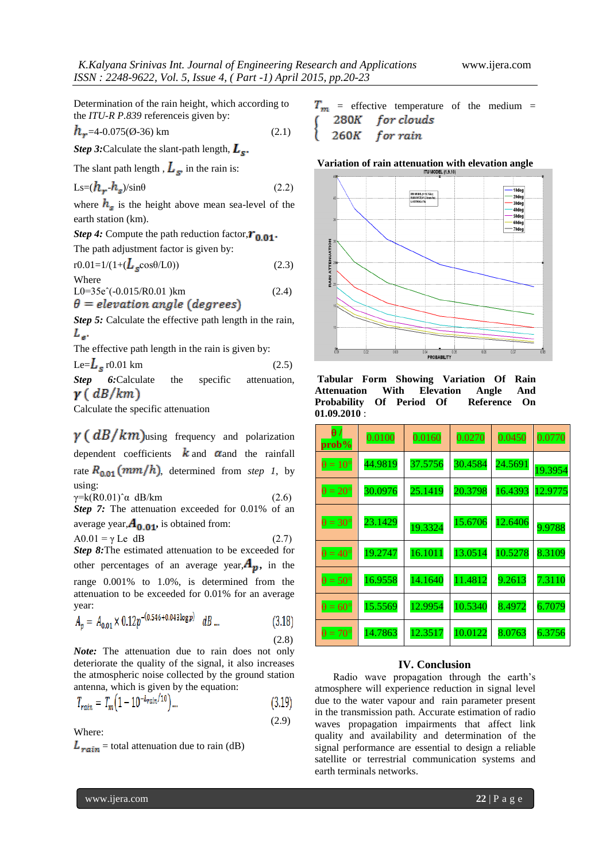Determination of the rain height, which according to the *ITU-R P.839* referenceis given by:

$$
h_r = 4 - 0.075(0-36) \text{ km} \tag{2.1}
$$

*Step 3:* Calculate the slant-path length,  $L_s$ .

The slant path length,  $L_s$ , in the rain is:

$$
Ls = (h_r - h_s)/\sin\theta \tag{2.2}
$$

where  $h_s$  is the height above mean sea-level of the earth station (km).

*Step 4:* Compute the path reduction factor,  $r_{0.01}$ .

The path adjustment factor is given by: r0.01=1/(1+( cosθ/L0)) (2.3)

Where  
\n
$$
LO=35e^{(-0.015/R0.01)km}
$$
\n
$$
\theta = elevation angle (degrees)
$$
\n(2.4)

*Step 5:* Calculate the effective path length in the rain,  $L_{\rm st}$ 

The effective path length in the rain is given by:

Le= $L_s$  r0.01 km (2.5)

**Step 6:**Calculate the specific attenuation,  $\gamma$  (  $dB/km$  )

Calculate the specific attenuation

 $\gamma$  (  $dB/km$ ) using frequency and polarization dependent coefficients  $\boldsymbol{k}$  and  $\boldsymbol{\alpha}$  and the rainfall rate  $R_{0.01}(mm/h)$ , determined from *step 1*, by using:

 $γ=k(R0.01)$ <sup> $\alpha$ </sup> dB/km (2.6) **Step 7:** The attenuation exceeded for 0.01% of an average year, $A_{0.01}$ , is obtained from:

 $A0.01 = \gamma$  Le dB (2.7) *Step 8:*The estimated attenuation to be exceeded for other percentages of an average year, $A_{\nu}$ , in the range 0.001% to 1.0%, is determined from the attenuation to be exceeded for 0.01% for an average year:

$$
A_p = A_{0.01} \times 0.12p^{-(0.546 + 0.043 \log p)} dB \dots \tag{3.18}
$$

*Note:* The attenuation due to rain does not only deteriorate the quality of the signal, it also increases the atmospheric noise collected by the ground station antenna, which is given by the equation:

$$
T_{rain} = T_m \left( 1 - 10^{-L_{rain}/10} \right) \dots \tag{3.19}
$$

Where:

 $L_{rain}$  = total attenuation due to rain (dB)

 $T_m$  = effective temperature of the medium =  $(280K$  for clouds  $260K$ for rain

#### **Variation of rain attenuation with elevation angle**



**Tabular Form Showing Variation Of Rain Attenuation With Elevation Angle And Probability Of Period Of Reference On 01.09.2010** :

| $\theta$ /<br>prob%   | 0.0100  | 0.0160  | 0.0270  | 0.0450  | 0.0770  |
|-----------------------|---------|---------|---------|---------|---------|
| $\theta = 10^{\circ}$ | 44.9819 | 37.5756 | 30.4584 | 24.5691 | 19.3954 |
| $\theta = 20^{\circ}$ | 30.0976 | 25.1419 | 20.3798 | 16.4393 | 12.9775 |
| $\theta = 30^{\circ}$ | 23.1429 | 19.3324 | 15.6706 | 12.6406 | 9.9788  |
| $\theta = 40^{\circ}$ | 19.2747 | 16.1011 | 13.0514 | 10.5278 | 8.3109  |
| $\theta = 50^{\circ}$ | 16.9558 | 14.1640 | 11.4812 | 9.2613  | 7.3110  |
| $\theta = 60^{\circ}$ | 15.5569 | 12.9954 | 10.5340 | 8.4972  | 6.7079  |
| $\theta = 70^{\circ}$ | 14.7863 | 12.3517 | 10.0122 | 8.0763  | 6.3756  |

## **IV. Conclusion**

Radio wave propagation through the earth's atmosphere will experience reduction in signal level due to the water vapour and rain parameter present in the transmission path. Accurate estimation of radio waves propagation impairments that affect link quality and availability and determination of the signal performance are essential to design a reliable satellite or terrestrial communication systems and earth terminals networks.